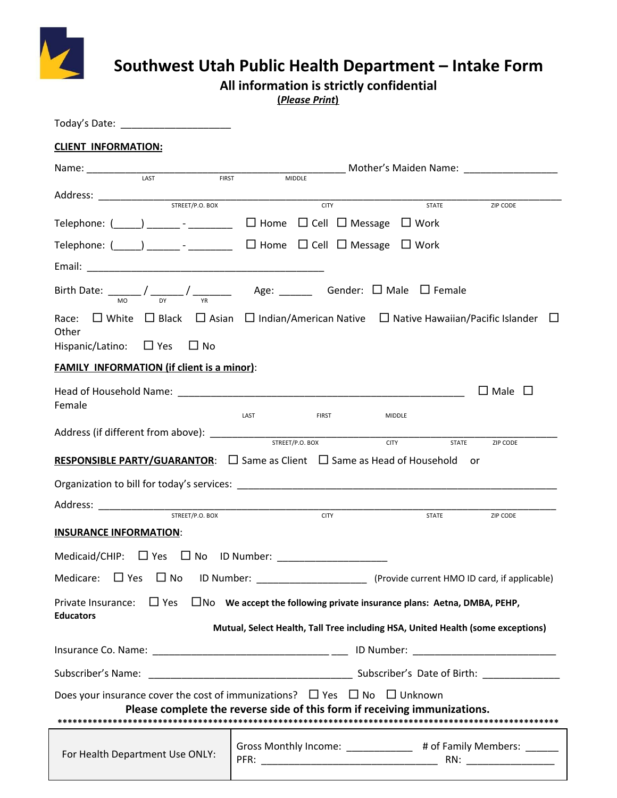

## **Southwest Utah Public Health Department – Intake Form**

**All information is strictly confidential**

**(***Please Print***)**

| Today's Date: ________________________                                                                                                                                                                                         |                                                                                                                     |              |                    |  |
|--------------------------------------------------------------------------------------------------------------------------------------------------------------------------------------------------------------------------------|---------------------------------------------------------------------------------------------------------------------|--------------|--------------------|--|
| <b>CLIENT INFORMATION:</b>                                                                                                                                                                                                     |                                                                                                                     |              |                    |  |
|                                                                                                                                                                                                                                |                                                                                                                     |              |                    |  |
|                                                                                                                                                                                                                                |                                                                                                                     |              |                    |  |
|                                                                                                                                                                                                                                | <b>CITY</b>                                                                                                         | STATE        | ZIP CODE           |  |
| Telephone: $\begin{pmatrix} 1 & 1 \\ 1 & 1 \end{pmatrix}$ . Thome $\Box$ Cell $\Box$ Message $\Box$ Work                                                                                                                       |                                                                                                                     |              |                    |  |
| Telephone: (_____) ________- _________ □ Home □ Cell □ Message □ Work                                                                                                                                                          |                                                                                                                     |              |                    |  |
|                                                                                                                                                                                                                                |                                                                                                                     |              |                    |  |
|                                                                                                                                                                                                                                |                                                                                                                     |              |                    |  |
| Race:<br>Other                                                                                                                                                                                                                 | $\Box$ White $\Box$ Black $\Box$ Asian $\Box$ Indian/American Native $\Box$ Native Hawaiian/Pacific Islander $\Box$ |              |                    |  |
| Hispanic/Latino: $\Box$ Yes $\Box$ No                                                                                                                                                                                          |                                                                                                                     |              |                    |  |
| <b>FAMILY INFORMATION (if client is a minor):</b>                                                                                                                                                                              |                                                                                                                     |              |                    |  |
| Head of Household Name: Law Management and Contract and Contract of The Contract of The Contract of The Contract of The Contract of The Contract of The Contract of The Contract of The Contract of The Contract of The Contra |                                                                                                                     |              | $\Box$ Male $\Box$ |  |
| Female                                                                                                                                                                                                                         | LAST<br><b>FIRST</b>                                                                                                | MIDDLE       |                    |  |
|                                                                                                                                                                                                                                |                                                                                                                     | <b>STATE</b> | ZIP CODE           |  |
| <b>RESPONSIBLE PARTY/GUARANTOR:</b> $\Box$ Same as Client $\Box$ Same as Head of Household or                                                                                                                                  |                                                                                                                     |              |                    |  |
|                                                                                                                                                                                                                                |                                                                                                                     |              |                    |  |
| STREET/P.O. BOX                                                                                                                                                                                                                | <b>CITY</b>                                                                                                         | STATE        | ZIP CODE           |  |
| <b>INSURANCE INFORMATION:</b>                                                                                                                                                                                                  |                                                                                                                     |              |                    |  |
|                                                                                                                                                                                                                                |                                                                                                                     |              |                    |  |
| $\Box$ Yes $\Box$ No<br>Medicare:                                                                                                                                                                                              | ID Number: [2013] (Provide current HMO ID card, if applicable)                                                      |              |                    |  |
| $\Box$ Yes<br>Private Insurance:<br><b>Educators</b>                                                                                                                                                                           | $\Box$ No We accept the following private insurance plans: Aetna, DMBA, PEHP,                                       |              |                    |  |
|                                                                                                                                                                                                                                | Mutual, Select Health, Tall Tree including HSA, United Health (some exceptions)                                     |              |                    |  |
|                                                                                                                                                                                                                                |                                                                                                                     |              |                    |  |
|                                                                                                                                                                                                                                |                                                                                                                     |              |                    |  |
| Does your insurance cover the cost of immunizations? $\Box$ Yes $\Box$ No $\Box$ Unknown                                                                                                                                       | Please complete the reverse side of this form if receiving immunizations.                                           |              |                    |  |
|                                                                                                                                                                                                                                |                                                                                                                     |              |                    |  |
|                                                                                                                                                                                                                                |                                                                                                                     |              |                    |  |
| For Health Department Use ONLY:                                                                                                                                                                                                | Gross Monthly Income: _____________ # of Family Members: ______                                                     |              |                    |  |